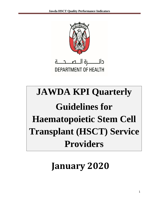

**DEPARTMENT OF HEALTH** 

# **JAWDA KPI Quarterly Guidelines for Haematopoietic Stem Cell Transplant (HSCT) Service Providers**

## **January 2020**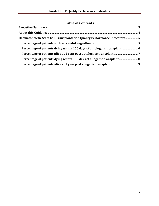## **Table of Contents**

| Haematopoietic Stem Cell Transplantation Quality Performance Indicators 5 |  |
|---------------------------------------------------------------------------|--|
|                                                                           |  |
|                                                                           |  |
|                                                                           |  |
| Percentage of patients dying within 100 days of allogenic transplant 8    |  |
|                                                                           |  |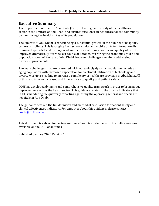### <span id="page-2-0"></span>**Executive Summary**

The Department of Health– Abu Dhabi (DOH) is the regulatory body of the healthcare sector in the Emirate of Abu Dhabi and ensures excellence in healthcare for the community by monitoring the health status of its population.

The Emirate of Abu Dhabi is experiencing a substantial growth in the number of hospitals, centers and clinics. This is ranging from school clinics and mobile units to internationally renowned specialist and tertiary academic centers. Although, access and quality of care has improved dramatically over the last couple of decades, mirroring the economic upturn and population boom of Emirate of Abu Dhabi, however challenges remain in addressing further improvements.

The main challenges that are presented with increasingly dynamic population include an aging population with increased expectation for treatment, utilization of technology and diverse workforce leading to increased complexity of healthcare provision in Abu Dhabi. All of this results in an increased and inherent risk to quality and patient safety.

DOH has developed dynamic and comprehensive quality framework in order to bring about improvements across the health sector. This guidance relates to the quality indicators that DOH is mandating the quarterly reporting against by the operating general and specialist hospitals in Abu Dhabi.

The guidance sets out the full definition and method of calculation for patient safety and clinical effectiveness indicators. For enquiries about this guidance, please contact [jawda@DoH.gov.ae](mailto:jawda@DoH.gov.ae)

This document is subject for review and therefore it is advisable to utilize online versions available on the DOH at all times.

Published: January 2020 Version 1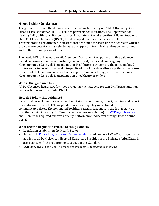## <span id="page-3-0"></span>**About this Guidance**

The guidance sets out the definitions and reporting frequency of JAWDA Haematopoietic Stem Cell Transplantation (HSCT) Facilities performance indicators. The Department of Health (DoH), with consultation from local and international expertise of Haematopoietic Stem Cell Transplantation (HSCT), has developed Haematopoietic Stem Cell Transplantation Performance Indicators that are aimed for assessing the degree to which a provider competently and safely delivers the appropriate clinical services to the patient within the optimal period of time.

The Jawda KPI for Haematopoietic Stem Cell Transplantation patients in this guidance include measures to monitor morbidity and mortality in patients undergoing Haematopoietic Stem Cell Transplantation. Healthcare providers are the most qualified professionals to develop and evaluate quality of care for kidney disease patients; therefore, it is crucial that clinicians retain a leadership position in defining performance among Haematopoietic Stem Cell Transplantation s healthcare providers.

#### **Who is this guidance for?**

All DoH licensed healthcare facilities providing Haematopoietic Stem Cell Transplantation services in the Emirate of Abu Dhabi.

#### **How do I follow this guidance?**

Each provider will nominate one member of staff to coordinate, collect, monitor and report Haematopoietic Stem Cell Transplantation services quality indicators data as per communicated dates. The nominated healthcare facility lead must in the first instance email their contact details (if different from previous submission) to [JAWDA@doh.gov.ae](mailto:JAWDA@doh.gov.ae/)  and submit the required quarterly quality performance indicators through Jawda online portal.

#### **What are the Regulation related to this guidance?**

- Legislation establishing the Health Sector
- As per DoH [Policy for Quality and Patient Safety](https://www.haad.ae/HAAD/LinkClick.aspx?fileticket=Jrh93s-AyUA%3d&tabid=1276) issued January 15<sup>th</sup> 2017, this guidance applies to all DoH Licensed Hospital Healthcare Facilities in the Emirate of Abu Dhabi in accordance with the requirements set out in this Standard.
- DOH Standard on Stem Cell Therapies and Products & Regenerative Medicine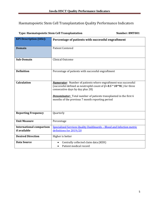## <span id="page-4-0"></span>Haematopoietic Stem Cell Transplantation Quality Performance Indicators

#### <span id="page-4-1"></span>**Type: Haematopoietic Stem Cell Transplantation Number: BMT001**

| <b>KPI Description (title):</b> | Percentage of patients with successful engraftment                                                                                                                                                                                                                                                                             |
|---------------------------------|--------------------------------------------------------------------------------------------------------------------------------------------------------------------------------------------------------------------------------------------------------------------------------------------------------------------------------|
| <b>Domain</b>                   | <b>Patient Centered</b>                                                                                                                                                                                                                                                                                                        |
| Sub-Domain                      | Clinical Outcome                                                                                                                                                                                                                                                                                                               |
| <b>Definition</b>               | Percentage of patients with successful engraftment                                                                                                                                                                                                                                                                             |
| <b>Calculation</b>              | <b>Numerator</b> : Number of patients where engraftment was successful<br>(successful defined as neutrophil count of $\rightarrow$ 0.5 $*$ 10^9L) for three<br>consecutive days by day plus 28)<br><b>Denominator:</b> Total number of patients transplanted in the first 6<br>months of the previous 7 month reporting period |
| <b>Reporting Frequency</b>      | Quarterly                                                                                                                                                                                                                                                                                                                      |
| <b>Unit Measure</b>             | Percentage                                                                                                                                                                                                                                                                                                                     |
| <b>International comparison</b> | Specialized Services Quality Dashboards - Blood and Infection metric                                                                                                                                                                                                                                                           |
| if available                    | definitions for 2019/20                                                                                                                                                                                                                                                                                                        |
| <b>Desired Direction</b>        | Higher is better                                                                                                                                                                                                                                                                                                               |
| <b>Data Source</b>              | Centrally collected claim data (KEH)                                                                                                                                                                                                                                                                                           |
|                                 | Patient medical record                                                                                                                                                                                                                                                                                                         |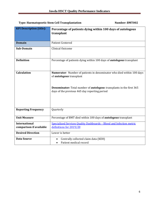#### <span id="page-5-0"></span>**Type: Haematopoetic Stem Cell Transplantation Number: BMT002**

| <b>KPI Description (title):</b> | Percentage of patients dying within 100 days of autologous<br>transplant                                                                                                                                                                        |
|---------------------------------|-------------------------------------------------------------------------------------------------------------------------------------------------------------------------------------------------------------------------------------------------|
| <b>Domain</b>                   | <b>Patient Centered</b>                                                                                                                                                                                                                         |
| Sub-Domain                      | <b>Clinical Outcome</b>                                                                                                                                                                                                                         |
| <b>Definition</b>               | Percentage of patients dying within 100 days of <i>autologous</i> transplant                                                                                                                                                                    |
| <b>Calculation</b>              | Numerator: Number of patients in denominator who died within 100 days<br>of <i>autologous</i> transplant<br><b>Denominator:</b> Total number of <b>autologous</b> transplants in the first 365<br>days of the previous 465 day reporting period |
| <b>Reporting Frequency</b>      | Quarterly                                                                                                                                                                                                                                       |
| <b>Unit Measure</b>             | Percentage of BMT died within 100 days of <i>autologous</i> transplant                                                                                                                                                                          |
| <b>International</b>            | Specialized Services Quality Dashboards - Blood and Infection metric                                                                                                                                                                            |
| comparison if available         | definitions for 2019/20                                                                                                                                                                                                                         |
| <b>Desired Direction</b>        | Lower is better                                                                                                                                                                                                                                 |
| <b>Data Source</b>              | Centrally collected claim data (KEH)<br>Patient medical record                                                                                                                                                                                  |
|                                 |                                                                                                                                                                                                                                                 |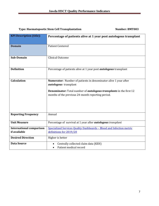#### <span id="page-6-0"></span>**Type: Haematopoetic Stem Cell Transplantation Number: BMT003**

| <b>KPI Description (title):</b> | Percentage of patients alive at 1 year post autologous transplant                 |
|---------------------------------|-----------------------------------------------------------------------------------|
|                                 |                                                                                   |
| <b>Domain</b>                   | <b>Patient Centered</b>                                                           |
|                                 |                                                                                   |
|                                 |                                                                                   |
| <b>Sub-Domain</b>               | <b>Clinical Outcome</b>                                                           |
|                                 |                                                                                   |
|                                 |                                                                                   |
| <b>Definition</b>               | Percentage of patients alive at 1 year post <b>autologous</b> transplant          |
|                                 |                                                                                   |
|                                 |                                                                                   |
| <b>Calculation</b>              | <b>Numerator:</b> Number of patients in denominator alive 1 year after            |
|                                 | <i>autologous</i> transplant                                                      |
|                                 |                                                                                   |
|                                 | <b>Denominator:</b> Total number of <i>autologous transplants</i> in the first 12 |
|                                 | months of the previous 24-month reporting period.                                 |
|                                 |                                                                                   |
|                                 |                                                                                   |
|                                 |                                                                                   |
|                                 |                                                                                   |
|                                 |                                                                                   |
| <b>Reporting Frequency</b>      | Annual                                                                            |
|                                 |                                                                                   |
| <b>Unit Measure</b>             | Percentage of survival at 1 year after <b>autologous</b> transplant               |
| <b>International comparison</b> | Specialized Services Quality Dashboards - Blood and Infection metric              |
| if available                    | definitions for 2019/20                                                           |
|                                 |                                                                                   |
| <b>Desired Direction</b>        | Higher is better                                                                  |
| <b>Data Source</b>              | Centrally collected claim data (KEH)                                              |
|                                 | Patient medical record                                                            |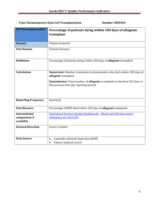#### <span id="page-7-0"></span>**Type: Haematopoetic Stem Cell Transplantation Mumber: BMT004**

| <b>KPI Description (title):</b> | Percentage of patients dying within 100 days of allogenic                                                                          |
|---------------------------------|------------------------------------------------------------------------------------------------------------------------------------|
|                                 | transplant                                                                                                                         |
|                                 |                                                                                                                                    |
| <b>Domain</b>                   | <b>Patient Centered</b>                                                                                                            |
| Sub-Domain                      | Clinical outcome                                                                                                                   |
|                                 |                                                                                                                                    |
| <b>Definition</b>               | Percentage of patients dying within 100 days of <b>allogenic</b> transplant                                                        |
|                                 |                                                                                                                                    |
| <b>Calculation</b>              | Numerator: Number of patients in denominator who died within 100 days of<br>allogenic transplant                                   |
|                                 |                                                                                                                                    |
|                                 | <b>Denominator:</b> Total number of <b>allogenic</b> transplants in the first 365 days of<br>the previous 465 day reporting period |
|                                 |                                                                                                                                    |
|                                 |                                                                                                                                    |
|                                 |                                                                                                                                    |
| <b>Reporting Frequency</b>      | Quarterly                                                                                                                          |
| <b>Unit Measure</b>             | Percentage of BMT died within 100 days of <i>allogenic</i> transplant                                                              |
|                                 |                                                                                                                                    |
| <b>International</b>            | Specialized Services Quality Dashboards - Blood and Infection metric                                                               |
| comparison if<br>available      | definitions for 2019/20                                                                                                            |
| <b>Desired Direction</b>        | Lower is better                                                                                                                    |
|                                 |                                                                                                                                    |
|                                 |                                                                                                                                    |
| <b>Data Source</b>              | Centrally collected claim data (KEH)                                                                                               |
|                                 | Patient medical record<br>$\bullet$                                                                                                |